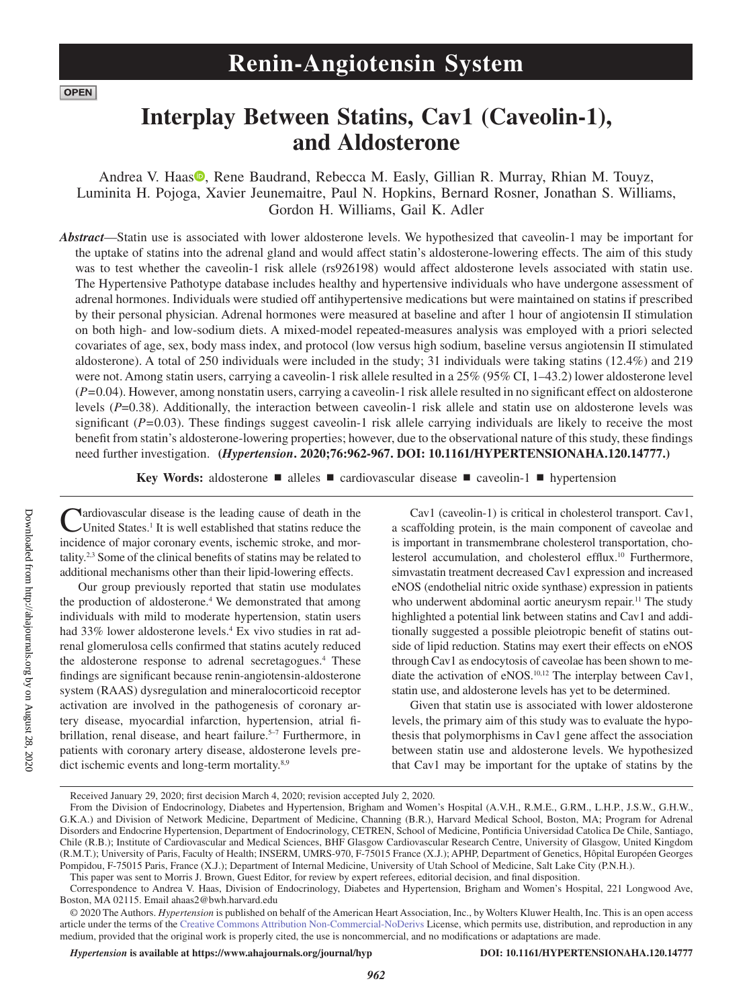**OPEN** 

# **Interplay Between Statins, Cav1 (Caveolin-1), and Aldosterone**

Andrea V. Haa[s](https://orcid.org/0000-0001-8044-7926)<sup>®</sup>, Rene Baudrand, Rebecca M. Easly, Gillian R. Murray, Rhian M. Touyz, Luminita H. Pojoga, Xavier Jeunemaitre, Paul N. Hopkins, Bernard Rosner, Jonathan S. Williams, Gordon H. Williams, Gail K. Adler

*Abstract*—Statin use is associated with lower aldosterone levels. We hypothesized that caveolin-1 may be important for the uptake of statins into the adrenal gland and would affect statin's aldosterone-lowering effects. The aim of this study was to test whether the caveolin-1 risk allele (rs926198) would affect aldosterone levels associated with statin use. The Hypertensive Pathotype database includes healthy and hypertensive individuals who have undergone assessment of adrenal hormones. Individuals were studied off antihypertensive medications but were maintained on statins if prescribed by their personal physician. Adrenal hormones were measured at baseline and after 1 hour of angiotensin II stimulation on both high- and low-sodium diets. A mixed-model repeated-measures analysis was employed with a priori selected covariates of age, sex, body mass index, and protocol (low versus high sodium, baseline versus angiotensin II stimulated aldosterone). A total of 250 individuals were included in the study; 31 individuals were taking statins (12.4%) and 219 were not. Among statin users, carrying a caveolin-1 risk allele resulted in a 25% (95% CI, 1–43.2) lower aldosterone level (*P=*0.04). However, among nonstatin users, carrying a caveolin-1 risk allele resulted in no significant effect on aldosterone levels (*P*=0.38). Additionally, the interaction between caveolin-1 risk allele and statin use on aldosterone levels was significant (*P=*0.03). These findings suggest caveolin-1 risk allele carrying individuals are likely to receive the most benefit from statin's aldosterone-lowering properties; however, due to the observational nature of this study, these findings need further investigation. **(***Hypertension***. 2020;76:962-967. DOI: 10.1161/HYPERTENSIONAHA.120.14777.)**

**Key Words:** aldosterone ■ alleles ■ cardiovascular disease ■ caveolin-1 ■ hypertension

Cardiovascular disease is the leading cause of death in the United States.<sup>1</sup> It is well established that statins reduce the incidence of major coronary events, ischemic stroke, and mortality.2,3 Some of the clinical benefits of statins may be related to additional mechanisms other than their lipid-lowering effects.

Our group previously reported that statin use modulates the production of aldosterone.<sup>4</sup> We demonstrated that among individuals with mild to moderate hypertension, statin users had 33% lower aldosterone levels.<sup>4</sup> Ex vivo studies in rat adrenal glomerulosa cells confirmed that statins acutely reduced the aldosterone response to adrenal secretagogues.4 These findings are significant because renin-angiotensin-aldosterone system (RAAS) dysregulation and mineralocorticoid receptor activation are involved in the pathogenesis of coronary artery disease, myocardial infarction, hypertension, atrial fibrillation, renal disease, and heart failure.<sup>5-7</sup> Furthermore, in patients with coronary artery disease, aldosterone levels predict ischemic events and long-term mortality.<sup>8,9</sup>

Cav1 (caveolin-1) is critical in cholesterol transport. Cav1, a scaffolding protein, is the main component of caveolae and is important in transmembrane cholesterol transportation, cholesterol accumulation, and cholesterol efflux.<sup>10</sup> Furthermore, simvastatin treatment decreased Cav1 expression and increased eNOS (endothelial nitric oxide synthase) expression in patients who underwent abdominal aortic aneurysm repair.<sup>11</sup> The study highlighted a potential link between statins and Cav1 and additionally suggested a possible pleiotropic benefit of statins outside of lipid reduction. Statins may exert their effects on eNOS through Cav1 as endocytosis of caveolae has been shown to mediate the activation of eNOS.<sup>10,12</sup> The interplay between Cav1, statin use, and aldosterone levels has yet to be determined.

Given that statin use is associated with lower aldosterone levels, the primary aim of this study was to evaluate the hypothesis that polymorphisms in Cav1 gene affect the association between statin use and aldosterone levels. We hypothesized that Cav1 may be important for the uptake of statins by the

*Hypertension* **is available at https://www.ahajournals.org/journal/hyp DOI: 10.1161/HYPERTENSIONAHA.120.14777**

Received January 29, 2020; first decision March 4, 2020; revision accepted July 2, 2020.

From the Division of Endocrinology, Diabetes and Hypertension, Brigham and Women's Hospital (A.V.H., R.M.E., G.RM., L.H.P., J.S.W., G.H.W., G.K.A.) and Division of Network Medicine, Department of Medicine, Channing (B.R.), Harvard Medical School, Boston, MA; Program for Adrenal Disorders and Endocrine Hypertension, Department of Endocrinology, CETREN, School of Medicine, Pontificia Universidad Catolica De Chile, Santiago, Chile (R.B.); Institute of Cardiovascular and Medical Sciences, BHF Glasgow Cardiovascular Research Centre, University of Glasgow, United Kingdom (R.M.T.); University of Paris, Faculty of Health; INSERM, UMRS-970, F-75015 France (X.J.); APHP, Department of Genetics, Hôpital Européen Georges Pompidou, F-75015 Paris, France (X.J.); Department of Internal Medicine, University of Utah School of Medicine, Salt Lake City (P.N.H.). This paper was sent to Morris J. Brown, Guest Editor, for review by expert referees, editorial decision, and final disposition.

Correspondence to Andrea V. Haas, Division of Endocrinology, Diabetes and Hypertension, Brigham and Women's Hospital, 221 Longwood Ave, Boston, MA 02115. Email [ahaas2@bwh.harvard.edu](mailto:ahaas2@bwh.harvard.edu)

<sup>© 2020</sup> The Authors. *Hypertension* is published on behalf of the American Heart Association, Inc., by Wolters Kluwer Health, Inc. This is an open access article under the terms of the Creative Commons Attribution Non-Commercial-NoDerivs License, which permits use, distribution, and reproduction in any medium, provided that the original work is properly cited, the use is noncommercial, and no modifications or adaptations are made.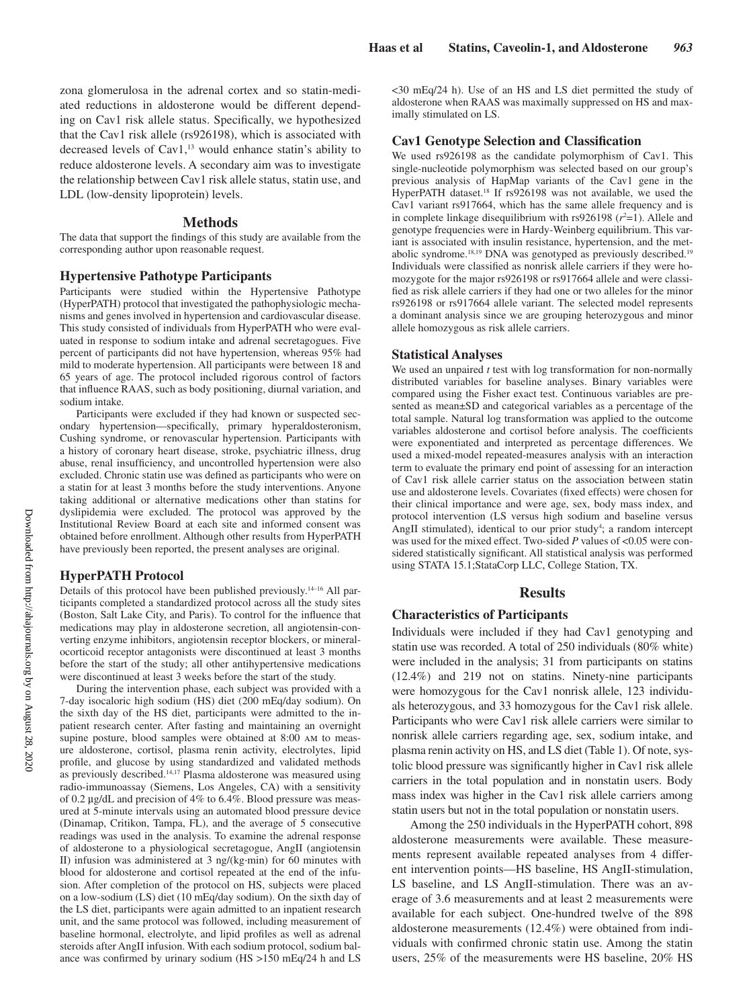zona glomerulosa in the adrenal cortex and so statin-mediated reductions in aldosterone would be different depending on Cav1 risk allele status. Specifically, we hypothesized that the Cav1 risk allele (rs926198), which is associated with decreased levels of  $Cav1$ ,<sup>13</sup> would enhance statin's ability to reduce aldosterone levels. A secondary aim was to investigate the relationship between Cav1 risk allele status, statin use, and LDL (low-density lipoprotein) levels.

#### **Methods**

The data that support the findings of this study are available from the corresponding author upon reasonable request.

## **Hypertensive Pathotype Participants**

Participants were studied within the Hypertensive Pathotype (HyperPATH) protocol that investigated the pathophysiologic mechanisms and genes involved in hypertension and cardiovascular disease. This study consisted of individuals from HyperPATH who were evaluated in response to sodium intake and adrenal secretagogues. Five percent of participants did not have hypertension, whereas 95% had mild to moderate hypertension. All participants were between 18 and 65 years of age. The protocol included rigorous control of factors that influence RAAS, such as body positioning, diurnal variation, and sodium intake.

Participants were excluded if they had known or suspected secondary hypertension—specifically, primary hyperaldosteronism, Cushing syndrome, or renovascular hypertension. Participants with a history of coronary heart disease, stroke, psychiatric illness, drug abuse, renal insufficiency, and uncontrolled hypertension were also excluded. Chronic statin use was defined as participants who were on a statin for at least 3 months before the study interventions. Anyone taking additional or alternative medications other than statins for dyslipidemia were excluded. The protocol was approved by the Institutional Review Board at each site and informed consent was obtained before enrollment. Although other results from HyperPATH have previously been reported, the present analyses are original.

### **HyperPATH Protocol**

Details of this protocol have been published previously.14–16 All participants completed a standardized protocol across all the study sites (Boston, Salt Lake City, and Paris). To control for the influence that medications may play in aldosterone secretion, all angiotensin-converting enzyme inhibitors, angiotensin receptor blockers, or mineralocorticoid receptor antagonists were discontinued at least 3 months before the start of the study; all other antihypertensive medications were discontinued at least 3 weeks before the start of the study.

During the intervention phase, each subject was provided with a 7-day isocaloric high sodium (HS) diet (200 mEq/day sodium). On the sixth day of the HS diet, participants were admitted to the inpatient research center. After fasting and maintaining an overnight supine posture, blood samples were obtained at 8:00 am to measure aldosterone, cortisol, plasma renin activity, electrolytes, lipid profile, and glucose by using standardized and validated methods as previously described.<sup>14,17</sup> Plasma aldosterone was measured using radio-immunoassay (Siemens, Los Angeles, CA) with a sensitivity of 0.2 µg/dL and precision of 4% to 6.4%. Blood pressure was measured at 5-minute intervals using an automated blood pressure device (Dinamap, Critikon, Tampa, FL), and the average of 5 consecutive readings was used in the analysis. To examine the adrenal response of aldosterone to a physiological secretagogue, AngII (angiotensin II) infusion was administered at 3 ng/(kg·min) for 60 minutes with blood for aldosterone and cortisol repeated at the end of the infusion. After completion of the protocol on HS, subjects were placed on a low-sodium (LS) diet (10 mEq/day sodium). On the sixth day of the LS diet, participants were again admitted to an inpatient research unit, and the same protocol was followed, including measurement of baseline hormonal, electrolyte, and lipid profiles as well as adrenal steroids after AngII infusion. With each sodium protocol, sodium balance was confirmed by urinary sodium (HS >150 mEq/24 h and LS

<30 mEq/24 h). Use of an HS and LS diet permitted the study of aldosterone when RAAS was maximally suppressed on HS and maximally stimulated on LS.

## **Cav1 Genotype Selection and Classification**

We used rs926198 as the candidate polymorphism of Cav1. This single-nucleotide polymorphism was selected based on our group's previous analysis of HapMap variants of the Cav1 gene in the HyperPATH dataset.18 If rs926198 was not available, we used the Cav1 variant rs917664, which has the same allele frequency and is in complete linkage disequilibrium with  $rs926198 (r^2=1)$ . Allele and genotype frequencies were in Hardy-Weinberg equilibrium. This variant is associated with insulin resistance, hypertension, and the metabolic syndrome.18,19 DNA was genotyped as previously described.19 Individuals were classified as nonrisk allele carriers if they were homozygote for the major rs926198 or rs917664 allele and were classified as risk allele carriers if they had one or two alleles for the minor rs926198 or rs917664 allele variant. The selected model represents a dominant analysis since we are grouping heterozygous and minor allele homozygous as risk allele carriers.

#### **Statistical Analyses**

We used an unpaired *t* test with log transformation for non-normally distributed variables for baseline analyses. Binary variables were compared using the Fisher exact test. Continuous variables are presented as mean±SD and categorical variables as a percentage of the total sample. Natural log transformation was applied to the outcome variables aldosterone and cortisol before analysis. The coefficients were exponentiated and interpreted as percentage differences. We used a mixed-model repeated-measures analysis with an interaction term to evaluate the primary end point of assessing for an interaction of Cav1 risk allele carrier status on the association between statin use and aldosterone levels. Covariates (fixed effects) were chosen for their clinical importance and were age, sex, body mass index, and protocol intervention (LS versus high sodium and baseline versus AngII stimulated), identical to our prior study<sup>4</sup>; a random intercept was used for the mixed effect. Two-sided *P* values of <0.05 were considered statistically significant. All statistical analysis was performed using STATA 15.1;StataCorp LLC, College Station, TX.

#### **Results**

#### **Characteristics of Participants**

Individuals were included if they had Cav1 genotyping and statin use was recorded. A total of 250 individuals (80% white) were included in the analysis; 31 from participants on statins (12.4%) and 219 not on statins. Ninety-nine participants were homozygous for the Cav1 nonrisk allele, 123 individuals heterozygous, and 33 homozygous for the Cav1 risk allele. Participants who were Cav1 risk allele carriers were similar to nonrisk allele carriers regarding age, sex, sodium intake, and plasma renin activity on HS, and LS diet (Table 1). Of note, systolic blood pressure was significantly higher in Cav1 risk allele carriers in the total population and in nonstatin users. Body mass index was higher in the Cav1 risk allele carriers among statin users but not in the total population or nonstatin users.

Among the 250 individuals in the HyperPATH cohort, 898 aldosterone measurements were available. These measurements represent available repeated analyses from 4 different intervention points—HS baseline, HS AngII-stimulation, LS baseline, and LS AngII-stimulation. There was an average of 3.6 measurements and at least 2 measurements were available for each subject. One-hundred twelve of the 898 aldosterone measurements (12.4%) were obtained from individuals with confirmed chronic statin use. Among the statin users, 25% of the measurements were HS baseline, 20% HS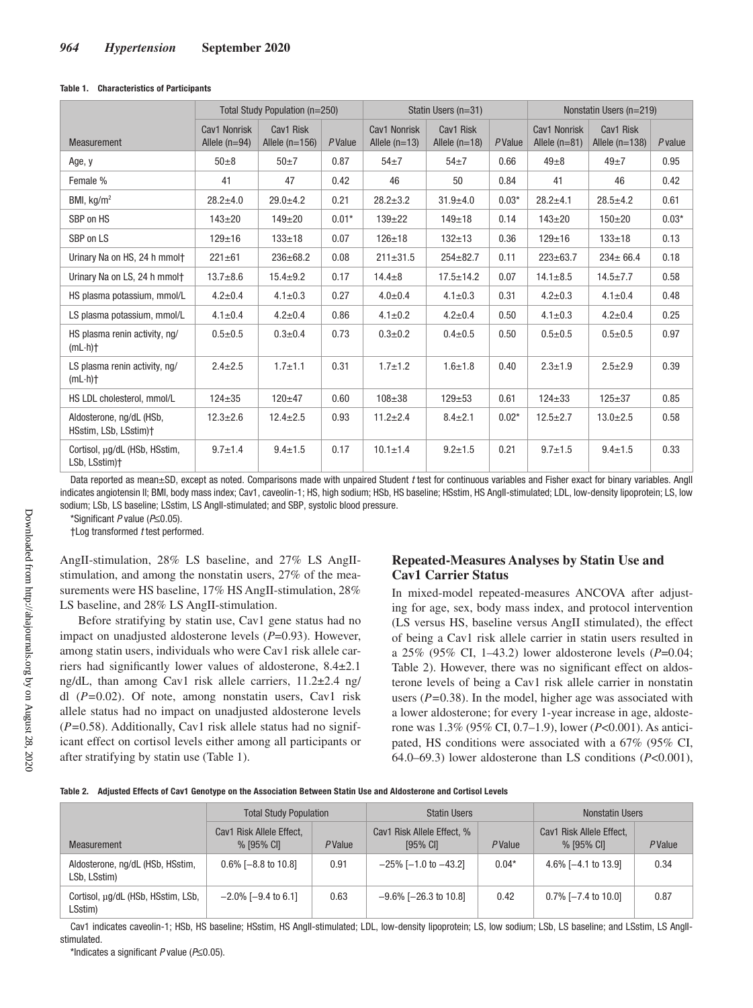#### **Table 1. Characteristics of Participants**

|                                                   | Total Study Population (n=250)  |                               |         | Statin Users (n=31)             |                              |         | Nonstatin Users (n=219)         |                               |           |
|---------------------------------------------------|---------------------------------|-------------------------------|---------|---------------------------------|------------------------------|---------|---------------------------------|-------------------------------|-----------|
| Measurement                                       | Cav1 Nonrisk<br>Allele $(n=94)$ | Cav1 Risk<br>Allele $(n=156)$ | PValue  | Cav1 Nonrisk<br>Allele $(n=13)$ | Cav1 Risk<br>Allele $(n=18)$ | PValue  | Cav1 Nonrisk<br>Allele $(n=81)$ | Cav1 Risk<br>Allele $(n=138)$ | $P$ value |
| Age, y                                            | $50 + 8$                        | $50\pm7$                      | 0.87    | $54\pm7$                        | $54+7$                       | 0.66    | $49\pm8$                        | $49\pm7$                      | 0.95      |
| Female %                                          | 41                              | 47                            | 0.42    | 46                              | 50                           | 0.84    | 41                              | 46                            | 0.42      |
| BMI, $kg/m2$                                      | $28.2 + 4.0$                    | $29.0 + 4.2$                  | 0.21    | $28.2 + 3.2$                    | $31.9 + 4.0$                 | $0.03*$ | $28.2 + 4.1$                    | $28.5 \pm 4.2$                | 0.61      |
| SBP on HS                                         | $143 + 20$                      | $149 + 20$                    | $0.01*$ | $139 + 22$                      | $149 + 18$                   | 0.14    | $143 + 20$                      | $150 + 20$                    | $0.03*$   |
| SBP on LS                                         | $129 + 16$                      | $133 + 18$                    | 0.07    | $126 + 18$                      | $132 + 13$                   | 0.36    | $129 + 16$                      | $133 + 18$                    | 0.13      |
| Urinary Na on HS, 24 h mmolt                      | $221 \pm 61$                    | $236 \pm 68.2$                | 0.08    | $211 \pm 31.5$                  | $254 \pm 82.7$               | 0.11    | $223 \pm 63.7$                  | $234 \pm 66.4$                | 0.18      |
| Urinary Na on LS, 24 h mmolt                      | $13.7 + 8.6$                    | $15.4 \pm 9.2$                | 0.17    | $14.4 + 8$                      | $17.5 \pm 14.2$              | 0.07    | $14.1 \pm 8.5$                  | $14.5 \pm 7.7$                | 0.58      |
| HS plasma potassium, mmol/L                       | $4.2 \pm 0.4$                   | $4.1 \pm 0.3$                 | 0.27    | $4.0 + 0.4$                     | $4.1 \pm 0.3$                | 0.31    | $4.2 \pm 0.3$                   | $4.1 \pm 0.4$                 | 0.48      |
| LS plasma potassium, mmol/L                       | $4.1 \pm 0.4$                   | $4.2 \pm 0.4$                 | 0.86    | $4.1 \pm 0.2$                   | $4.2 \pm 0.4$                | 0.50    | $4.1 \pm 0.3$                   | $4.2 \pm 0.4$                 | 0.25      |
| HS plasma renin activity, ng/<br>$(mL \cdot h)$   | $0.5 + 0.5$                     | $0.3 \pm 0.4$                 | 0.73    | $0.3 + 0.2$                     | $0.4 \pm 0.5$                | 0.50    | $0.5 + 0.5$                     | $0.5 + 0.5$                   | 0.97      |
| LS plasma renin activity, ng/<br>$(mL \cdot h)$   | $2.4 \pm 2.5$                   | $1.7 + 1.1$                   | 0.31    | $1.7 + 1.2$                     | $1.6 + 1.8$                  | 0.40    | $2.3 + 1.9$                     | $2.5 + 2.9$                   | 0.39      |
| HS LDL cholesterol, mmol/L                        | $124 + 35$                      | $120 + 47$                    | 0.60    | $108 + 38$                      | $129 + 53$                   | 0.61    | $124 \pm 33$                    | $125 + 37$                    | 0.85      |
| Aldosterone, ng/dL (HSb,<br>HSstim, LSb, LSstim)+ | $12.3 \pm 2.6$                  | $12.4 \pm 2.5$                | 0.93    | $11.2 \pm 2.4$                  | $8.4 \pm 2.1$                | $0.02*$ | $12.5 \pm 2.7$                  | $13.0 \pm 2.5$                | 0.58      |
| Cortisol, ug/dL (HSb, HSstim,<br>LSb, LSstim)+    | $9.7 \pm 1.4$                   | $9.4 \pm 1.5$                 | 0.17    | $10.1 \pm 1.4$                  | $9.2 + 1.5$                  | 0.21    | $9.7 + 1.5$                     | $9.4 \pm 1.5$                 | 0.33      |

Data reported as mean±SD, except as noted. Comparisons made with unpaired Student t test for continuous variables and Fisher exact for binary variables. Angll indicates angiotensin II; BMI, body mass index; Cav1, caveolin-1; HS, high sodium; HSb, HS baseline; HSstim, HS AngII-stimulated; LDL, low-density lipoprotein; LS, low sodium; LSb, LS baseline; LSstim, LS Angll-stimulated; and SBP, systolic blood pressure.

\*Significant P value (P≤0.05).

†Log transformed t test performed.

AngII-stimulation, 28% LS baseline, and 27% LS AngIIstimulation, and among the nonstatin users, 27% of the measurements were HS baseline, 17% HS AngII-stimulation, 28% LS baseline, and 28% LS AngII-stimulation.

Before stratifying by statin use, Cav1 gene status had no impact on unadjusted aldosterone levels (*P*=0.93). However, among statin users, individuals who were Cav1 risk allele carriers had significantly lower values of aldosterone, 8.4±2.1 ng/dL, than among Cav1 risk allele carriers, 11.2±2.4 ng/ dl (*P=*0.02). Of note, among nonstatin users, Cav1 risk allele status had no impact on unadjusted aldosterone levels (*P=*0.58). Additionally, Cav1 risk allele status had no significant effect on cortisol levels either among all participants or after stratifying by statin use (Table 1).

## **Repeated-Measures Analyses by Statin Use and Cav1 Carrier Status**

In mixed-model repeated-measures ANCOVA after adjusting for age, sex, body mass index, and protocol intervention (LS versus HS, baseline versus AngII stimulated), the effect of being a Cav1 risk allele carrier in statin users resulted in a 25% (95% CI, 1–43.2) lower aldosterone levels (*P*=0.04; Table 2). However, there was no significant effect on aldosterone levels of being a Cav1 risk allele carrier in nonstatin users (*P=*0.38). In the model, higher age was associated with a lower aldosterone; for every 1-year increase in age, aldosterone was 1.3% (95% CI, 0.7–1.9), lower (*P*<0.001). As anticipated, HS conditions were associated with a 67% (95% CI, 64.0–69.3) lower aldosterone than LS conditions (*P*<0.001),

|  | Table 2. Adjusted Effects of Cav1 Genotype on the Association Between Statin Use and Aldosterone and Cortisol Levels |  |  |  |  |  |
|--|----------------------------------------------------------------------------------------------------------------------|--|--|--|--|--|
|--|----------------------------------------------------------------------------------------------------------------------|--|--|--|--|--|

|                                                  | <b>Total Study Population</b>             |        | <b>Statin Users</b>                      |         | <b>Nonstatin Users</b>                 |        |  |
|--------------------------------------------------|-------------------------------------------|--------|------------------------------------------|---------|----------------------------------------|--------|--|
| Measurement                                      | Risk Allele Effect.<br>Cav1<br>% [95% CI] | PValue | Cav1 Risk Allele Effect, %<br>$[95%$ CI] | PValue  | Cav1 Risk Allele Effect.<br>% [95% CI] | PValue |  |
| Aldosterone, ng/dL (HSb, HSstim,<br>LSb, LSstim) | $0.6\%$ [-8.8 to 10.8]                    | 0.91   | $-25\%$ [-1.0 to -43.2]                  | $0.04*$ | 4.6% $[-4.1 \text{ to } 13.9]$         | 0.34   |  |
| Cortisol, µg/dL (HSb, HSstim, LSb,<br>LSstim)    | $-2.0\%$ [ $-9.4$ to 6.1]                 | 0.63   | $-9.6\%$ [ $-26.3$ to 10.8]              | 0.42    | $0.7\%$ [-7.4 to 10.0]                 | 0.87   |  |

Cav1 indicates caveolin-1; HSb, HS baseline; HSstim, HS Angll-stimulated; LDL, low-density lipoprotein; LS, low sodium; LSb, LS baseline; and LSstim, LS Angllstimulated.

\*Indicates a significant P value (P≤0.05).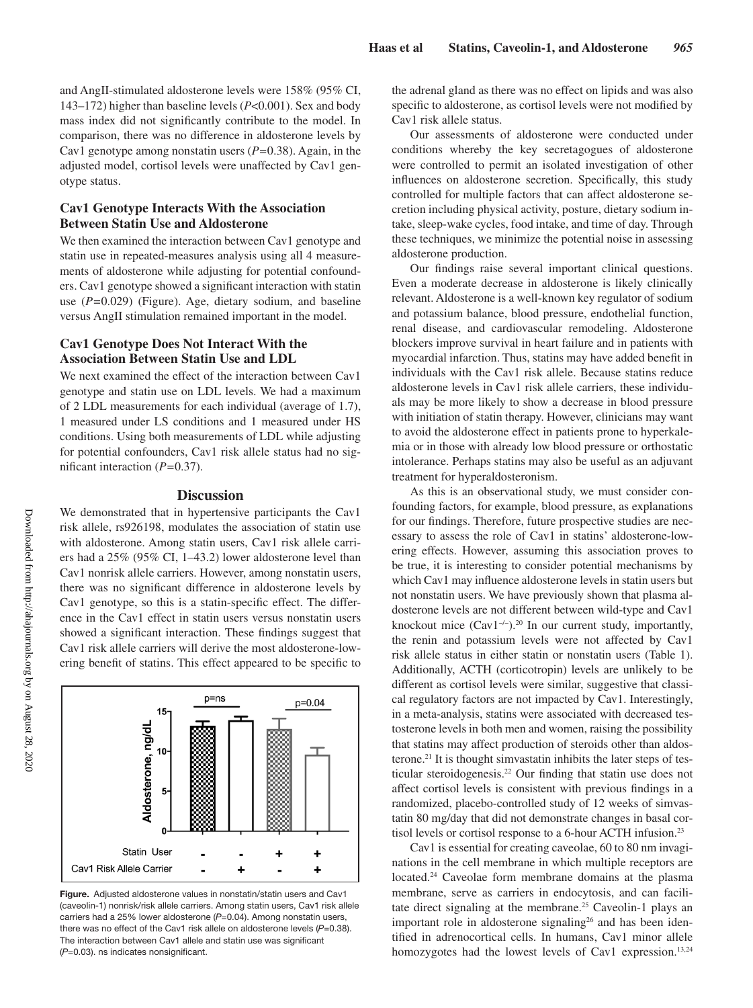and AngII-stimulated aldosterone levels were 158% (95% CI, 143–172) higher than baseline levels (*P*<0.001). Sex and body mass index did not significantly contribute to the model. In comparison, there was no difference in aldosterone levels by Cav1 genotype among nonstatin users (*P=*0.38). Again, in the adjusted model, cortisol levels were unaffected by Cav1 genotype status.

## **Cav1 Genotype Interacts With the Association Between Statin Use and Aldosterone**

We then examined the interaction between Cav1 genotype and statin use in repeated-measures analysis using all 4 measurements of aldosterone while adjusting for potential confounders. Cav1 genotype showed a significant interaction with statin use (*P=*0.029) (Figure). Age, dietary sodium, and baseline versus AngII stimulation remained important in the model.

## **Cav1 Genotype Does Not Interact With the Association Between Statin Use and LDL**

We next examined the effect of the interaction between Cav1 genotype and statin use on LDL levels. We had a maximum of 2 LDL measurements for each individual (average of 1.7), 1 measured under LS conditions and 1 measured under HS conditions. Using both measurements of LDL while adjusting for potential confounders, Cav1 risk allele status had no significant interaction (*P=*0.37).

## **Discussion**

We demonstrated that in hypertensive participants the Cav1 risk allele, rs926198, modulates the association of statin use with aldosterone. Among statin users, Cav1 risk allele carriers had a 25% (95% CI, 1–43.2) lower aldosterone level than Cav1 nonrisk allele carriers. However, among nonstatin users, there was no significant difference in aldosterone levels by Cav1 genotype, so this is a statin-specific effect. The difference in the Cav1 effect in statin users versus nonstatin users showed a significant interaction. These findings suggest that Cav1 risk allele carriers will derive the most aldosterone-lowering benefit of statins. This effect appeared to be specific to



**Figure.** Adjusted aldosterone values in nonstatin/statin users and Cav1 (caveolin-1) nonrisk/risk allele carriers. Among statin users, Cav1 risk allele carriers had a 25% lower aldosterone (P=0.04). Among nonstatin users, there was no effect of the Cav1 risk allele on aldosterone levels (*P*=0.38). The interaction between Cav1 allele and statin use was significant (*P*=0.03). ns indicates nonsignificant.

the adrenal gland as there was no effect on lipids and was also specific to aldosterone, as cortisol levels were not modified by Cav1 risk allele status.

Our assessments of aldosterone were conducted under conditions whereby the key secretagogues of aldosterone were controlled to permit an isolated investigation of other influences on aldosterone secretion. Specifically, this study controlled for multiple factors that can affect aldosterone secretion including physical activity, posture, dietary sodium intake, sleep-wake cycles, food intake, and time of day. Through these techniques, we minimize the potential noise in assessing aldosterone production.

Our findings raise several important clinical questions. Even a moderate decrease in aldosterone is likely clinically relevant. Aldosterone is a well-known key regulator of sodium and potassium balance, blood pressure, endothelial function, renal disease, and cardiovascular remodeling. Aldosterone blockers improve survival in heart failure and in patients with myocardial infarction. Thus, statins may have added benefit in individuals with the Cav1 risk allele. Because statins reduce aldosterone levels in Cav1 risk allele carriers, these individuals may be more likely to show a decrease in blood pressure with initiation of statin therapy. However, clinicians may want to avoid the aldosterone effect in patients prone to hyperkalemia or in those with already low blood pressure or orthostatic intolerance. Perhaps statins may also be useful as an adjuvant treatment for hyperaldosteronism.

As this is an observational study, we must consider confounding factors, for example, blood pressure, as explanations for our findings. Therefore, future prospective studies are necessary to assess the role of Cav1 in statins' aldosterone-lowering effects. However, assuming this association proves to be true, it is interesting to consider potential mechanisms by which Cav1 may influence aldosterone levels in statin users but not nonstatin users. We have previously shown that plasma aldosterone levels are not different between wild-type and Cav1 knockout mice (Cav1−/−).20 In our current study, importantly, the renin and potassium levels were not affected by Cav1 risk allele status in either statin or nonstatin users (Table 1). Additionally, ACTH (corticotropin) levels are unlikely to be different as cortisol levels were similar, suggestive that classical regulatory factors are not impacted by Cav1. Interestingly, in a meta-analysis, statins were associated with decreased testosterone levels in both men and women, raising the possibility that statins may affect production of steroids other than aldosterone.21 It is thought simvastatin inhibits the later steps of testicular steroidogenesis.22 Our finding that statin use does not affect cortisol levels is consistent with previous findings in a randomized, placebo-controlled study of 12 weeks of simvastatin 80 mg/day that did not demonstrate changes in basal cortisol levels or cortisol response to a 6-hour ACTH infusion.23

Cav1 is essential for creating caveolae, 60 to 80 nm invaginations in the cell membrane in which multiple receptors are located.24 Caveolae form membrane domains at the plasma membrane, serve as carriers in endocytosis, and can facilitate direct signaling at the membrane.<sup>25</sup> Caveolin-1 plays an important role in aldosterone signaling<sup>26</sup> and has been identified in adrenocortical cells. In humans, Cav1 minor allele homozygotes had the lowest levels of Cav1 expression.<sup>13,24</sup>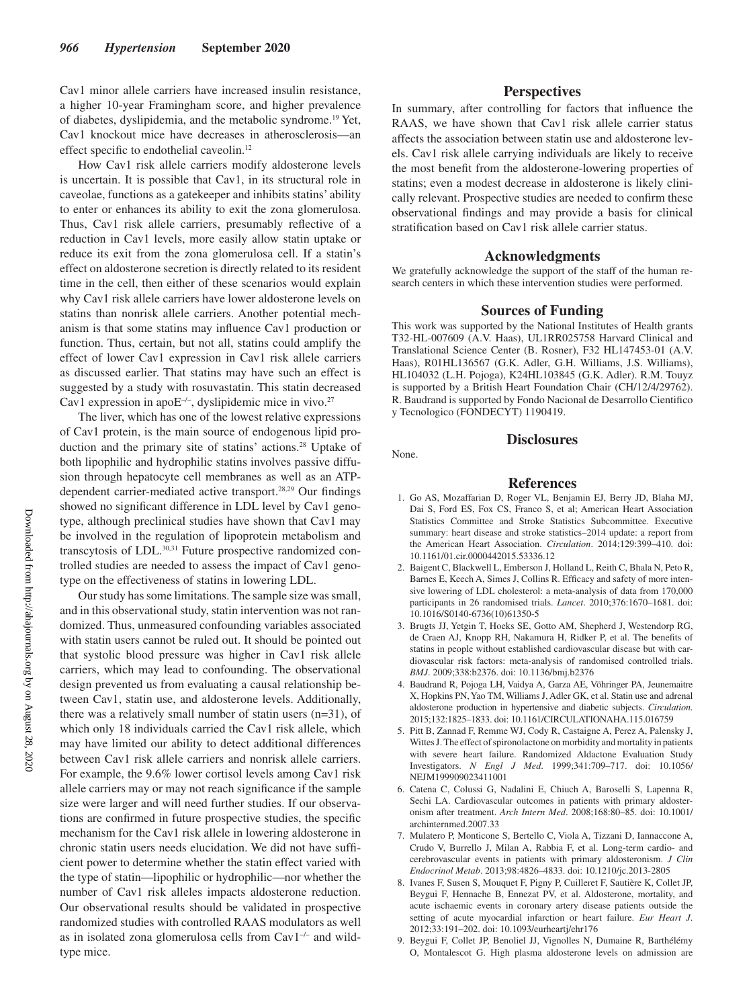Cav1 minor allele carriers have increased insulin resistance, a higher 10-year Framingham score, and higher prevalence of diabetes, dyslipidemia, and the metabolic syndrome.19 Yet, Cav1 knockout mice have decreases in atherosclerosis—an effect specific to endothelial caveolin.<sup>12</sup>

How Cav1 risk allele carriers modify aldosterone levels is uncertain. It is possible that Cav1, in its structural role in caveolae, functions as a gatekeeper and inhibits statins' ability to enter or enhances its ability to exit the zona glomerulosa. Thus, Cav1 risk allele carriers, presumably reflective of a reduction in Cav1 levels, more easily allow statin uptake or reduce its exit from the zona glomerulosa cell. If a statin's effect on aldosterone secretion is directly related to its resident time in the cell, then either of these scenarios would explain why Cav1 risk allele carriers have lower aldosterone levels on statins than nonrisk allele carriers. Another potential mechanism is that some statins may influence Cav1 production or function. Thus, certain, but not all, statins could amplify the effect of lower Cav1 expression in Cav1 risk allele carriers as discussed earlier. That statins may have such an effect is suggested by a study with rosuvastatin. This statin decreased Cav1 expression in apoE−/−, dyslipidemic mice in vivo.27

The liver, which has one of the lowest relative expressions of Cav1 protein, is the main source of endogenous lipid production and the primary site of statins' actions.<sup>28</sup> Uptake of both lipophilic and hydrophilic statins involves passive diffusion through hepatocyte cell membranes as well as an ATPdependent carrier-mediated active transport.28,29 Our findings showed no significant difference in LDL level by Cav1 genotype, although preclinical studies have shown that Cav1 may be involved in the regulation of lipoprotein metabolism and transcytosis of LDL.30,31 Future prospective randomized controlled studies are needed to assess the impact of Cav1 genotype on the effectiveness of statins in lowering LDL.

Our study has some limitations. The sample size was small, and in this observational study, statin intervention was not randomized. Thus, unmeasured confounding variables associated with statin users cannot be ruled out. It should be pointed out that systolic blood pressure was higher in Cav1 risk allele carriers, which may lead to confounding. The observational design prevented us from evaluating a causal relationship between Cav1, statin use, and aldosterone levels. Additionally, there was a relatively small number of statin users (n=31), of which only 18 individuals carried the Cav1 risk allele, which may have limited our ability to detect additional differences between Cav1 risk allele carriers and nonrisk allele carriers. For example, the 9.6% lower cortisol levels among Cav1 risk allele carriers may or may not reach significance if the sample size were larger and will need further studies. If our observations are confirmed in future prospective studies, the specific mechanism for the Cav1 risk allele in lowering aldosterone in chronic statin users needs elucidation. We did not have sufficient power to determine whether the statin effect varied with the type of statin—lipophilic or hydrophilic—nor whether the number of Cav1 risk alleles impacts aldosterone reduction. Our observational results should be validated in prospective randomized studies with controlled RAAS modulators as well as in isolated zona glomerulosa cells from Cav1−/− and wildtype mice.

## **Perspectives**

In summary, after controlling for factors that influence the RAAS, we have shown that Cav1 risk allele carrier status affects the association between statin use and aldosterone levels. Cav1 risk allele carrying individuals are likely to receive the most benefit from the aldosterone-lowering properties of statins; even a modest decrease in aldosterone is likely clinically relevant. Prospective studies are needed to confirm these observational findings and may provide a basis for clinical stratification based on Cav1 risk allele carrier status.

#### **Acknowledgments**

We gratefully acknowledge the support of the staff of the human research centers in which these intervention studies were performed.

## **Sources of Funding**

This work was supported by the National Institutes of Health grants T32-HL-007609 (A.V. Haas), UL1RR025758 Harvard Clinical and Translational Science Center (B. Rosner), F32 HL147453-01 (A.V. Haas), R01HL136567 (G.K. Adler, G.H. Williams, J.S. Williams), HL104032 (L.H. Pojoga), K24HL103845 (G.K. Adler). R.M. Touyz is supported by a British Heart Foundation Chair (CH/12/4/29762). R. Baudrand is supported by Fondo Nacional de Desarrollo Cientifico y Tecnologico (FONDECYT) 1190419.

None.

## **Disclosures**

## **References**

- 1. Go AS, Mozaffarian D, Roger VL, Benjamin EJ, Berry JD, Blaha MJ, Dai S, Ford ES, Fox CS, Franco S, et al; American Heart Association Statistics Committee and Stroke Statistics Subcommittee. Executive summary: heart disease and stroke statistics–2014 update: a report from the American Heart Association. *Circulation*. 2014;129:399–410. doi: 10.1161/01.cir.0000442015.53336.12
- 2. Baigent C, Blackwell L, Emberson J, Holland L, Reith C, Bhala N, Peto R, Barnes E, Keech A, Simes J, Collins R. Efficacy and safety of more intensive lowering of LDL cholesterol: a meta-analysis of data from 170,000 participants in 26 randomised trials. *Lancet*. 2010;376:1670–1681. doi: 10.1016/S0140-6736(10)61350-5
- 3. Brugts JJ, Yetgin T, Hoeks SE, Gotto AM, Shepherd J, Westendorp RG, de Craen AJ, Knopp RH, Nakamura H, Ridker P, et al. The benefits of statins in people without established cardiovascular disease but with cardiovascular risk factors: meta-analysis of randomised controlled trials. *BMJ*. 2009;338:b2376. doi: 10.1136/bmj.b2376
- 4. Baudrand R, Pojoga LH, Vaidya A, Garza AE, Vöhringer PA, Jeunemaitre X, Hopkins PN, Yao TM, Williams J, Adler GK, et al. Statin use and adrenal aldosterone production in hypertensive and diabetic subjects. *Circulation*. 2015;132:1825–1833. doi: 10.1161/CIRCULATIONAHA.115.016759
- 5. Pitt B, Zannad F, Remme WJ, Cody R, Castaigne A, Perez A, Palensky J, Wittes J. The effect of spironolactone on morbidity and mortality in patients with severe heart failure. Randomized Aldactone Evaluation Study Investigators. *N Engl J Med*. 1999;341:709–717. doi: 10.1056/ NEJM199909023411001
- 6. Catena C, Colussi G, Nadalini E, Chiuch A, Baroselli S, Lapenna R, Sechi LA. Cardiovascular outcomes in patients with primary aldosteronism after treatment. *Arch Intern Med*. 2008;168:80–85. doi: 10.1001/ archinternmed.2007.33
- 7. Mulatero P, Monticone S, Bertello C, Viola A, Tizzani D, Iannaccone A, Crudo V, Burrello J, Milan A, Rabbia F, et al. Long-term cardio- and cerebrovascular events in patients with primary aldosteronism. *J Clin Endocrinol Metab*. 2013;98:4826–4833. doi: 10.1210/jc.2013-2805
- 8. Ivanes F, Susen S, Mouquet F, Pigny P, Cuilleret F, Sautière K, Collet JP, Beygui F, Hennache B, Ennezat PV, et al. Aldosterone, mortality, and acute ischaemic events in coronary artery disease patients outside the setting of acute myocardial infarction or heart failure. *Eur Heart J*. 2012;33:191–202. doi: 10.1093/eurheartj/ehr176
- 9. Beygui F, Collet JP, Benoliel JJ, Vignolles N, Dumaine R, Barthélémy O, Montalescot G. High plasma aldosterone levels on admission are